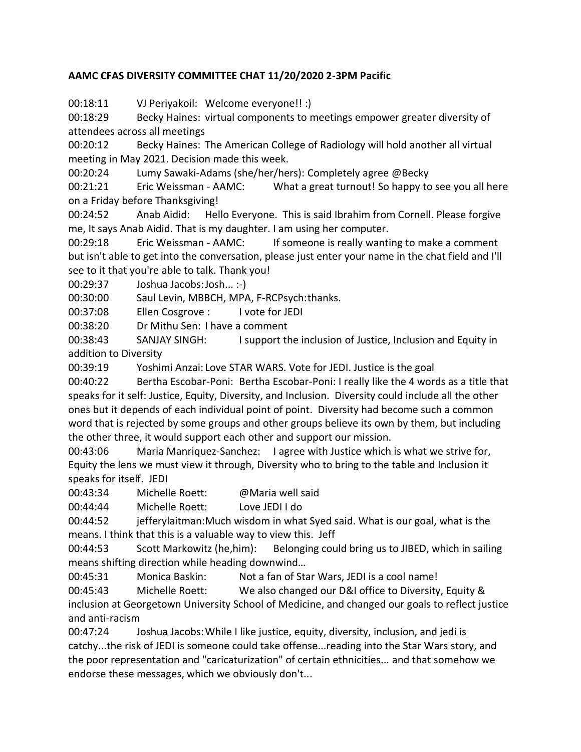## **AAMC CFAS DIVERSITY COMMITTEE CHAT 11/20/2020 2-3PM Pacific**

00:18:11 VJ Periyakoil: Welcome everyone!! :)

00:18:29 Becky Haines: virtual components to meetings empower greater diversity of attendees across all meetings

00:20:12 Becky Haines: The American College of Radiology will hold another all virtual meeting in May 2021. Decision made this week.

00:20:24 Lumy Sawaki-Adams (she/her/hers): Completely agree @Becky

00:21:21 Eric Weissman - AAMC: What a great turnout! So happy to see you all here on a Friday before Thanksgiving!

00:24:52 Anab Aidid: Hello Everyone. This is said Ibrahim from Cornell. Please forgive me, It says Anab Aidid. That is my daughter. I am using her computer.

00:29:18 Eric Weissman - AAMC: If someone is really wanting to make a comment but isn't able to get into the conversation, please just enter your name in the chat field and I'll see to it that you're able to talk. Thank you!

00:29:37 Joshua Jacobs:Josh... :-)

00:30:00 Saul Levin, MBBCH, MPA, F-RCPsych:thanks.

00:37:08 Ellen Cosgrove : I vote for JEDI

00:38:20 Dr Mithu Sen: I have a comment

00:38:43 SANJAY SINGH: I support the inclusion of Justice, Inclusion and Equity in addition to Diversity

00:39:19 Yoshimi Anzai: Love STAR WARS. Vote for JEDI. Justice is the goal

00:40:22 Bertha Escobar-Poni: Bertha Escobar-Poni: I really like the 4 words as a title that speaks for it self: Justice, Equity, Diversity, and Inclusion. Diversity could include all the other ones but it depends of each individual point of point. Diversity had become such a common word that is rejected by some groups and other groups believe its own by them, but including the other three, it would support each other and support our mission.

00:43:06 Maria Manriquez-Sanchez: I agree with Justice which is what we strive for, Equity the lens we must view it through, Diversity who to bring to the table and Inclusion it speaks for itself. JEDI

00:43:34 Michelle Roett: @Maria well said

00:44:44 Michelle Roett: Love JEDI I do

00:44:52 jefferylaitman:Much wisdom in what Syed said. What is our goal, what is the means. I think that this is a valuable way to view this. Jeff

00:44:53 Scott Markowitz (he,him): Belonging could bring us to JIBED, which in sailing means shifting direction while heading downwind…

00:45:31 Monica Baskin: Not a fan of Star Wars, JEDI is a cool name!

00:45:43 Michelle Roett: We also changed our D&I office to Diversity, Equity & inclusion at Georgetown University School of Medicine, and changed our goals to reflect justice

and anti-racism

00:47:24 Joshua Jacobs:While I like justice, equity, diversity, inclusion, and jedi is catchy...the risk of JEDI is someone could take offense...reading into the Star Wars story, and the poor representation and "caricaturization" of certain ethnicities... and that somehow we endorse these messages, which we obviously don't...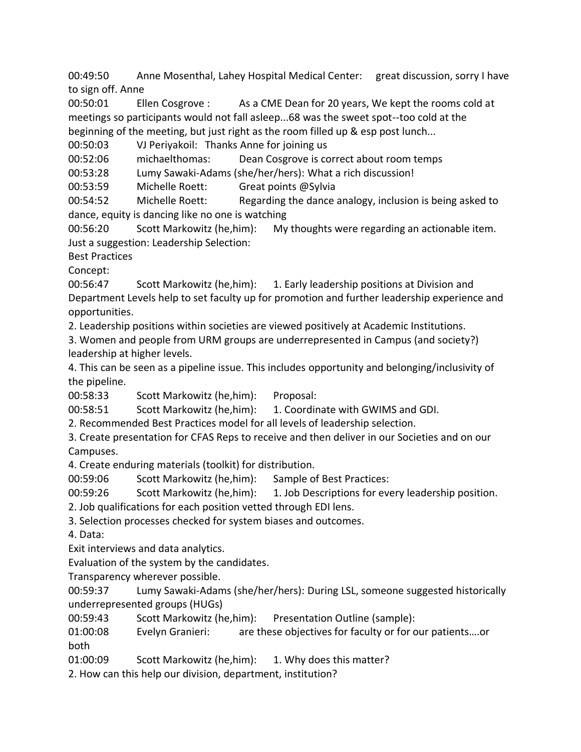00:49:50 Anne Mosenthal, Lahey Hospital Medical Center: great discussion, sorry I have to sign off. Anne

00:50:01 Ellen Cosgrove : As a CME Dean for 20 years, We kept the rooms cold at meetings so participants would not fall asleep...68 was the sweet spot--too cold at the beginning of the meeting, but just right as the room filled up & esp post lunch...

00:50:03 VJ Periyakoil: Thanks Anne for joining us

00:52:06 michaelthomas: Dean Cosgrove is correct about room temps

00:53:28 Lumy Sawaki-Adams (she/her/hers): What a rich discussion!

00:53:59 Michelle Roett: Great points @Sylvia

00:54:52 Michelle Roett: Regarding the dance analogy, inclusion is being asked to dance, equity is dancing like no one is watching

00:56:20 Scott Markowitz (he,him): My thoughts were regarding an actionable item. Just a suggestion: Leadership Selection:

Best Practices

Concept:

00:56:47 Scott Markowitz (he,him): 1. Early leadership positions at Division and Department Levels help to set faculty up for promotion and further leadership experience and opportunities.

2. Leadership positions within societies are viewed positively at Academic Institutions.

3. Women and people from URM groups are underrepresented in Campus (and society?) leadership at higher levels.

4. This can be seen as a pipeline issue. This includes opportunity and belonging/inclusivity of the pipeline.

00:58:33 Scott Markowitz (he,him): Proposal:

00:58:51 Scott Markowitz (he,him): 1. Coordinate with GWIMS and GDI.

2. Recommended Best Practices model for all levels of leadership selection.

3. Create presentation for CFAS Reps to receive and then deliver in our Societies and on our Campuses.

4. Create enduring materials (toolkit) for distribution.

00:59:06 Scott Markowitz (he,him): Sample of Best Practices:

00:59:26 Scott Markowitz (he,him): 1. Job Descriptions for every leadership position.

2. Job qualifications for each position vetted through EDI lens.

3. Selection processes checked for system biases and outcomes.

4. Data:

Exit interviews and data analytics.

Evaluation of the system by the candidates.

Transparency wherever possible.

00:59:37 Lumy Sawaki-Adams (she/her/hers): During LSL, someone suggested historically underrepresented groups (HUGs)

00:59:43 Scott Markowitz (he,him): Presentation Outline (sample):

01:00:08 Evelyn Granieri: are these objectives for faculty or for our patients….or both

01:00:09 Scott Markowitz (he,him): 1. Why does this matter?

2. How can this help our division, department, institution?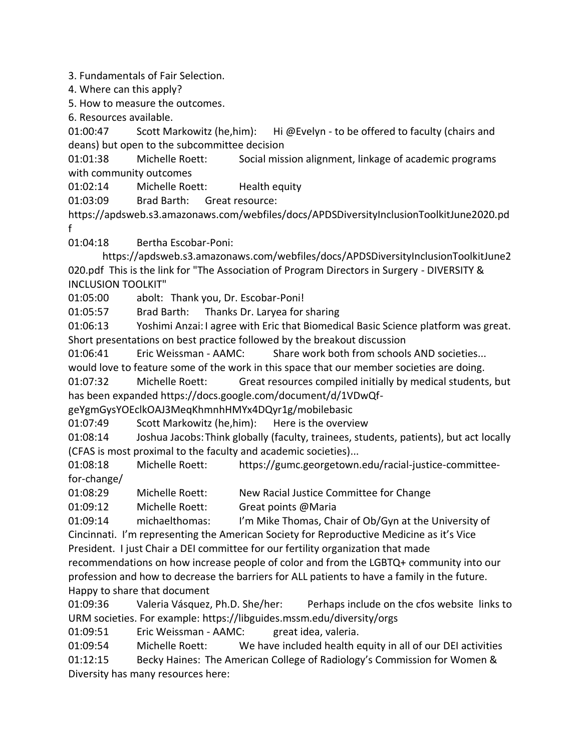3. Fundamentals of Fair Selection.

4. Where can this apply?

5. How to measure the outcomes.

6. Resources available.

01:00:47 Scott Markowitz (he,him): Hi @Evelyn - to be offered to faculty (chairs and deans) but open to the subcommittee decision

01:01:38 Michelle Roett: Social mission alignment, linkage of academic programs with community outcomes

01:02:14 Michelle Roett: Health equity

01:03:09 Brad Barth: Great resource:

https://apdsweb.s3.amazonaws.com/webfiles/docs/APDSDiversityInclusionToolkitJune2020.pd f

01:04:18 Bertha Escobar-Poni:

https://apdsweb.s3.amazonaws.com/webfiles/docs/APDSDiversityInclusionToolkitJune2 020.pdf This is the link for "The Association of Program Directors in Surgery - DIVERSITY & INCLUSION TOOLKIT"

01:05:00 abolt: Thank you, Dr. Escobar-Poni!

01:05:57 Brad Barth: Thanks Dr. Laryea for sharing

01:06:13 Yoshimi Anzai:I agree with Eric that Biomedical Basic Science platform was great. Short presentations on best practice followed by the breakout discussion

01:06:41 Eric Weissman - AAMC: Share work both from schools AND societies...

would love to feature some of the work in this space that our member societies are doing.

01:07:32 Michelle Roett: Great resources compiled initially by medical students, but has been expanded https://docs.google.com/document/d/1VDwQf-

geYgmGysYOEclkOAJ3MeqKhmnhHMYx4DQyr1g/mobilebasic

01:07:49 Scott Markowitz (he,him): Here is the overview

01:08:14 Joshua Jacobs:Think globally (faculty, trainees, students, patients), but act locally (CFAS is most proximal to the faculty and academic societies)...

01:08:18 Michelle Roett: https://gumc.georgetown.edu/racial-justice-committeefor-change/

01:08:29 Michelle Roett: New Racial Justice Committee for Change

01:09:12 Michelle Roett: Great points @Maria

01:09:14 michaelthomas: I'm Mike Thomas, Chair of Ob/Gyn at the University of Cincinnati. I'm representing the American Society for Reproductive Medicine as it's Vice

President. I just Chair a DEI committee for our fertility organization that made

recommendations on how increase people of color and from the LGBTQ+ community into our profession and how to decrease the barriers for ALL patients to have a family in the future. Happy to share that document

01:09:36 Valeria Vásquez, Ph.D. She/her: Perhaps include on the cfos website links to URM societies. For example: https://libguides.mssm.edu/diversity/orgs

01:09:51 Eric Weissman - AAMC: great idea, valeria.

01:09:54 Michelle Roett: We have included health equity in all of our DEI activities 01:12:15 Becky Haines: The American College of Radiology's Commission for Women & Diversity has many resources here: